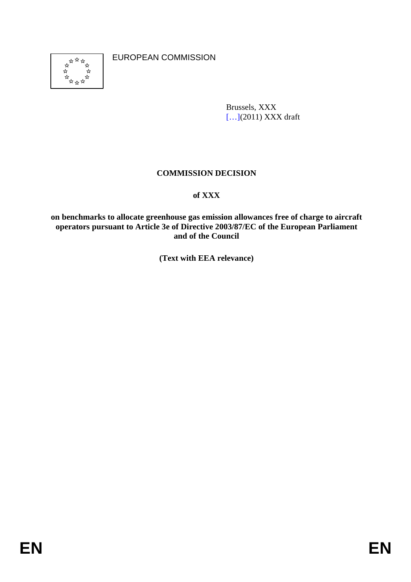

EUROPEAN COMMISSION

Brussels, XXX [...](2011) XXX draft

# **COMMISSION DECISION**

# **of XXX**

**on benchmarks to allocate greenhouse gas emission allowances free of charge to aircraft operators pursuant to Article 3e of Directive 2003/87/EC of the European Parliament and of the Council** 

**(Text with EEA relevance)**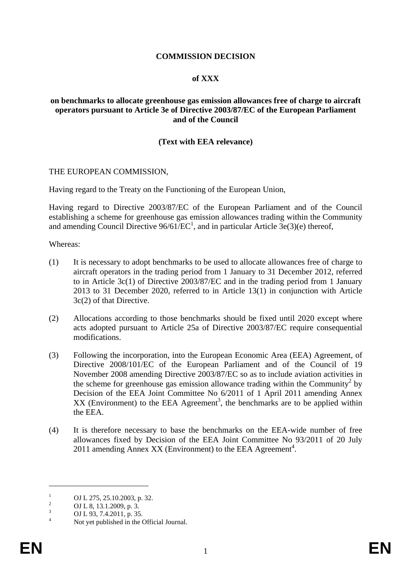## **COMMISSION DECISION**

#### **of XXX**

### **on benchmarks to allocate greenhouse gas emission allowances free of charge to aircraft operators pursuant to Article 3e of Directive 2003/87/EC of the European Parliament and of the Council**

### **(Text with EEA relevance)**

#### THE EUROPEAN COMMISSION,

Having regard to the Treaty on the Functioning of the European Union,

Having regard to Directive 2003/87/EC of the European Parliament and of the Council establishing a scheme for greenhouse gas emission allowances trading within the Community and amending Council Directive  $96/61/EC^1$ , and in particular Article  $3e(3)(e)$  thereof,

Whereas:

- (1) It is necessary to adopt benchmarks to be used to allocate allowances free of charge to aircraft operators in the trading period from 1 January to 31 December 2012, referred to in Article 3c(1) of Directive 2003/87/EC and in the trading period from 1 January 2013 to 31 December 2020, referred to in Article 13(1) in conjunction with Article 3c(2) of that Directive.
- (2) Allocations according to those benchmarks should be fixed until 2020 except where acts adopted pursuant to Article 25a of Directive 2003/87/EC require consequential modifications.
- (3) Following the incorporation, into the European Economic Area (EEA) Agreement, of Directive 2008/101/EC of the European Parliament and of the Council of 19 November 2008 amending Directive 2003/87/EC so as to include aviation activities in the scheme for greenhouse gas emission allowance trading within the Community<sup>2</sup> by Decision of the EEA Joint Committee No 6/2011 of 1 April 2011 amending Annex  $XX$  (Environment) to the EEA Agreement<sup>3</sup>, the benchmarks are to be applied within the EEA.
- (4) It is therefore necessary to base the benchmarks on the EEA-wide number of free allowances fixed by Decision of the EEA Joint Committee No 93/2011 of 20 July 2011 amending Annex XX (Environment) to the EEA Agreement<sup>4</sup>.

1

<sup>1</sup> OJ L 275, 25.10.2003, p. 32. 2

OJ L 8, 13.1.2009, p. 3.

<sup>3</sup> OJ L 93, 7.4.2011, p. 35.

<sup>4</sup> Not yet published in the Official Journal.